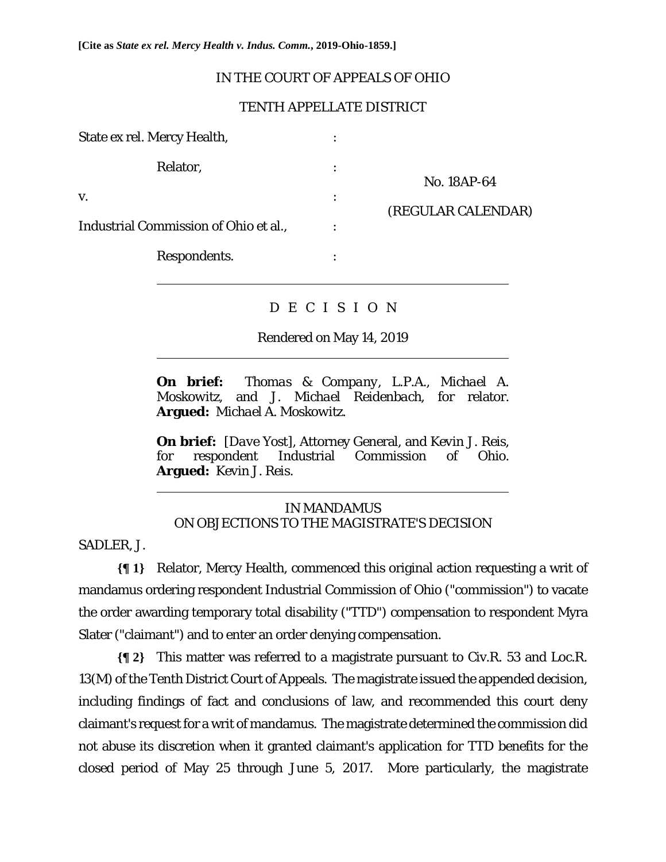**[Cite as** *State ex rel. Mercy Health v. Indus. Comm.***, 2019-Ohio-1859.]**

## IN THE COURT OF APPEALS OF OHIO

## TENTH APPELLATE DISTRICT

| State ex rel. Mercy Health,           |                           |                                   |
|---------------------------------------|---------------------------|-----------------------------------|
| Relator,                              |                           | No. 18AP-64<br>(REGULAR CALENDAR) |
| V.                                    | ٠<br>$\ddot{\phantom{0}}$ |                                   |
| Industrial Commission of Ohio et al., |                           |                                   |
| Respondents.                          |                           |                                   |
|                                       |                           |                                   |

# D E C I S I O N

Rendered on May 14, 2019

**On brief:** *Thomas & Company*, *L.P.A.*, *Michael A. Moskowitz*, and *J. Michael Reidenbach*, for relator. **Argued:** *Michael A. Moskowitz*.

**On brief:** [*Dave Yost*], Attorney General, and *Kevin J. Reis*, for respondent Industrial Commission of Ohio. **Argued:** *Kevin J. Reis*.

# IN MANDAMUS ON OBJECTIONS TO THE MAGISTRATE'S DECISION

SADLER, J.

 $\overline{a}$ 

 $\overline{a}$ 

**{¶ 1}** Relator, Mercy Health, commenced this original action requesting a writ of mandamus ordering respondent Industrial Commission of Ohio ("commission") to vacate the order awarding temporary total disability ("TTD") compensation to respondent Myra Slater ("claimant") and to enter an order denying compensation.

**{¶ 2}** This matter was referred to a magistrate pursuant to Civ.R. 53 and Loc.R. 13(M) of the Tenth District Court of Appeals. The magistrate issued the appended decision, including findings of fact and conclusions of law, and recommended this court deny claimant's request for a writ of mandamus. The magistrate determined the commission did not abuse its discretion when it granted claimant's application for TTD benefits for the closed period of May 25 through June 5, 2017. More particularly, the magistrate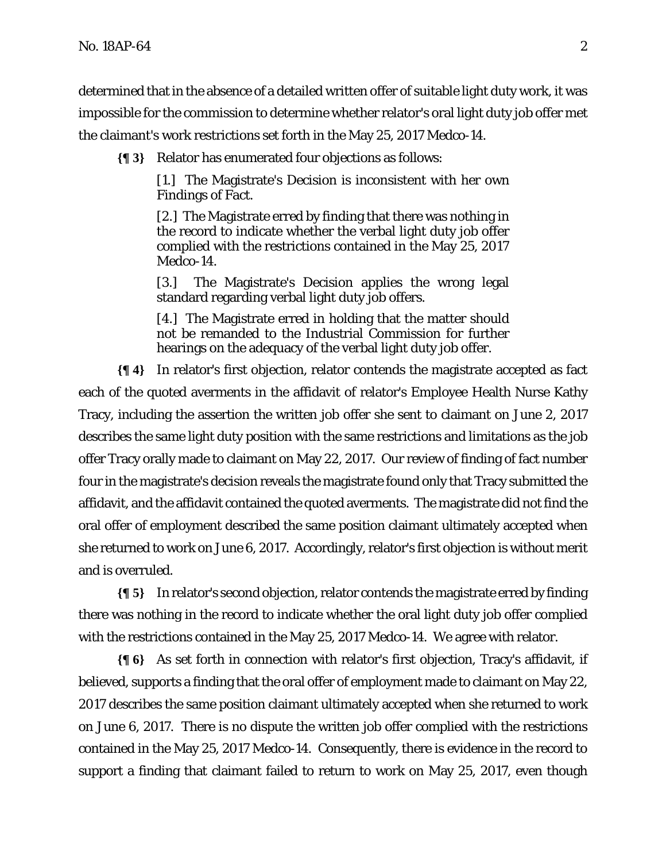determined that in the absence of a detailed written offer of suitable light duty work, it was impossible for the commission to determine whether relator's oral light duty job offer met the claimant's work restrictions set forth in the May 25, 2017 Medco-14.

**{¶ 3}** Relator has enumerated four objections as follows:

[1.] The Magistrate's Decision is inconsistent with her own Findings of Fact.

[2.] The Magistrate erred by finding that there was nothing in the record to indicate whether the verbal light duty job offer complied with the restrictions contained in the May 25, 2017 Medco-14.

[3.] The Magistrate's Decision applies the wrong legal standard regarding verbal light duty job offers.

[4.] The Magistrate erred in holding that the matter should not be remanded to the Industrial Commission for further hearings on the adequacy of the verbal light duty job offer.

**{¶ 4}** In relator's first objection, relator contends the magistrate accepted as fact each of the quoted averments in the affidavit of relator's Employee Health Nurse Kathy Tracy, including the assertion the written job offer she sent to claimant on June 2, 2017 describes the same light duty position with the same restrictions and limitations as the job offer Tracy orally made to claimant on May 22, 2017. Our review of finding of fact number four in the magistrate's decision reveals the magistrate found only that Tracy submitted the affidavit, and the affidavit contained the quoted averments. The magistrate did not find the oral offer of employment described the same position claimant ultimately accepted when she returned to work on June 6, 2017. Accordingly, relator's first objection is without merit and is overruled.

**{¶ 5}** In relator's second objection, relator contends the magistrate erred by finding there was nothing in the record to indicate whether the oral light duty job offer complied with the restrictions contained in the May 25, 2017 Medco-14. We agree with relator.

**{¶ 6}** As set forth in connection with relator's first objection, Tracy's affidavit, if believed, supports a finding that the oral offer of employment made to claimant on May 22, 2017 describes the same position claimant ultimately accepted when she returned to work on June 6, 2017. There is no dispute the written job offer complied with the restrictions contained in the May 25, 2017 Medco-14. Consequently, there is evidence in the record to support a finding that claimant failed to return to work on May 25, 2017, even though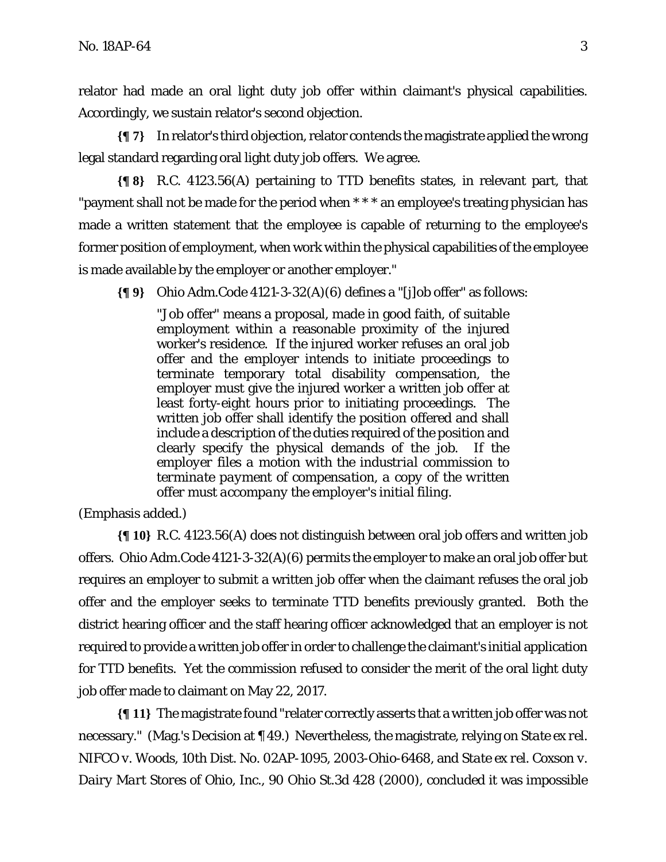relator had made an oral light duty job offer within claimant's physical capabilities. Accordingly, we sustain relator's second objection.

**{¶ 7}** In relator's third objection, relator contends the magistrate applied the wrong legal standard regarding oral light duty job offers. We agree.

**{¶ 8}** R.C. 4123.56(A) pertaining to TTD benefits states, in relevant part, that "payment shall not be made for the period when \* \* \* an employee's treating physician has made a written statement that the employee is capable of returning to the employee's former position of employment, when work within the physical capabilities of the employee is made available by the employer or another employer."

**{¶ 9}** Ohio Adm.Code 4121-3-32(A)(6) defines a "[j]ob offer" as follows:

"Job offer" means a proposal, made in good faith, of suitable employment within a reasonable proximity of the injured worker's residence. If the injured worker refuses an oral job offer and the employer intends to initiate proceedings to terminate temporary total disability compensation, the employer must give the injured worker a written job offer at least forty-eight hours prior to initiating proceedings. The written job offer shall identify the position offered and shall include a description of the duties required of the position and clearly specify the physical demands of the job. *If the employer files a motion with the industrial commission to terminate payment of compensation, a copy of the written offer must accompany the employer's initial filing.*

(Emphasis added.)

**{¶ 10}** R.C. 4123.56(A) does not distinguish between oral job offers and written job offers. Ohio Adm.Code 4121-3-32(A)(6) permits the employer to make an oral job offer but requires an employer to submit a written job offer when the claimant refuses the oral job offer and the employer seeks to terminate TTD benefits previously granted. Both the district hearing officer and the staff hearing officer acknowledged that an employer is not required to provide a written job offer in order to challenge the claimant's initial application for TTD benefits. Yet the commission refused to consider the merit of the oral light duty job offer made to claimant on May 22, 2017.

**{¶ 11}** The magistrate found "relater correctly asserts that a written job offer was not necessary." (Mag.'s Decision at ¶ 49.) Nevertheless, the magistrate, relying on *State ex rel. NIFCO v. Woods*, 10th Dist. No. 02AP-1095, 2003-Ohio-6468, and *State ex rel. Coxson v. Dairy Mart Stores of Ohio, Inc.*, 90 Ohio St.3d 428 (2000), concluded it was impossible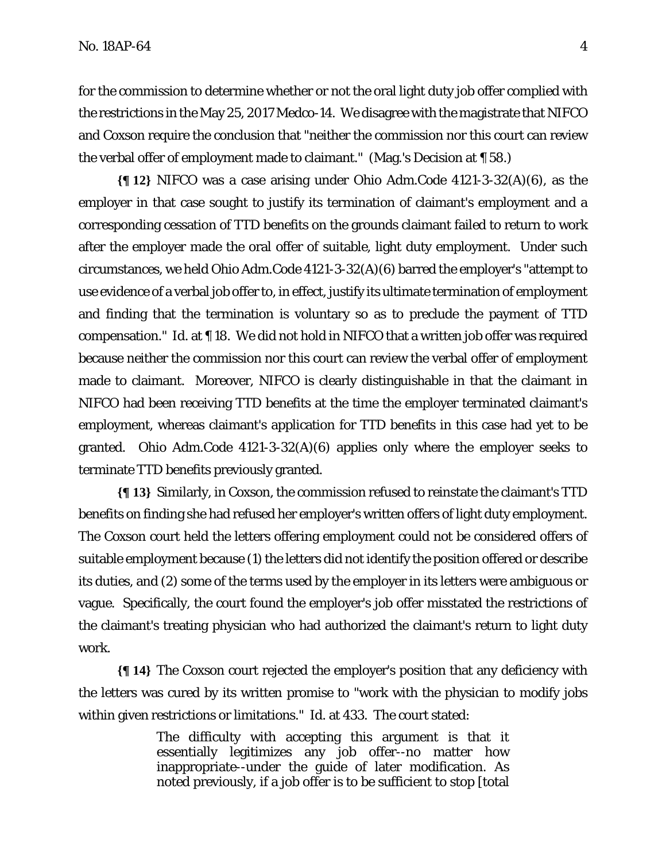for the commission to determine whether or not the oral light duty job offer complied with the restrictions in the May 25, 2017 Medco-14. We disagree with the magistrate that *NIFCO* and *Coxson* require the conclusion that "neither the commission nor this court can review the verbal offer of employment made to claimant." (Mag.'s Decision at ¶ 58.)

**{¶ 12}** *NIFCO* was a case arising under Ohio Adm.Code 4121-3-32(A)(6), as the employer in that case sought to justify its termination of claimant's employment and a corresponding cessation of TTD benefits on the grounds claimant failed to return to work after the employer made the oral offer of suitable, light duty employment. Under such circumstances, we held Ohio Adm.Code 4121-3-32(A)(6) barred the employer's "attempt to use evidence of a verbal job offer to, in effect, justify its ultimate termination of employment and finding that the termination is voluntary so as to preclude the payment of TTD compensation." *Id*. at ¶ 18. We did not hold in *NIFCO* that a written job offer was required because neither the commission nor this court can review the verbal offer of employment made to claimant. Moreover, *NIFCO* is clearly distinguishable in that the claimant in *NIFCO* had been receiving TTD benefits at the time the employer terminated claimant's employment, whereas claimant's application for TTD benefits in this case had yet to be granted. Ohio Adm.Code 4121-3-32(A)(6) applies only where the employer seeks to terminate TTD benefits previously granted.

**{¶ 13}** Similarly, in *Coxson*, the commission refused to reinstate the claimant's TTD benefits on finding she had refused her employer's written offers of light duty employment. The *Coxson* court held the letters offering employment could not be considered offers of suitable employment because (1) the letters did not identify the position offered or describe its duties, and (2) some of the terms used by the employer in its letters were ambiguous or vague. Specifically, the court found the employer's job offer misstated the restrictions of the claimant's treating physician who had authorized the claimant's return to light duty work.

**{¶ 14}** The *Coxson* court rejected the employer's position that any deficiency with the letters was cured by its written promise to "work with the physician to modify jobs within given restrictions or limitations." *Id*. at 433. The court stated:

> The difficulty with accepting this argument is that it essentially legitimizes any job offer--no matter how inappropriate--under the guide of later modification. As noted previously, if a job offer is to be sufficient to stop [total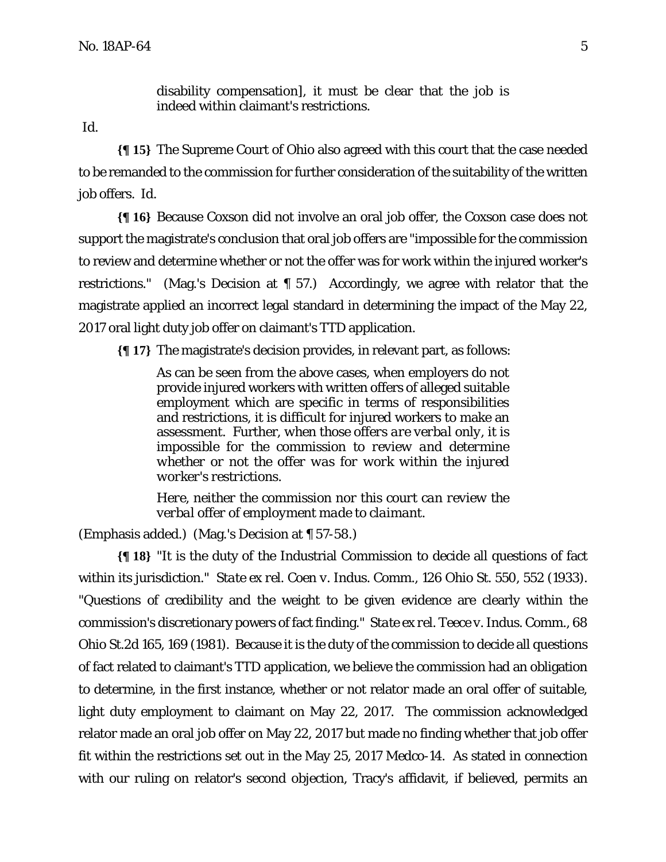disability compensation], it must be clear that the job is indeed within claimant's restrictions.

*Id*.

**{¶ 15}** The Supreme Court of Ohio also agreed with this court that the case needed to be remanded to the commission for further consideration of the suitability of the written job offers. *Id*.

**{¶ 16}** Because *Coxson* did not involve an oral job offer, the *Coxson* case does not support the magistrate's conclusion that oral job offers are "impossible for the commission to review and determine whether or not the offer was for work within the injured worker's restrictions." (Mag.'s Decision at ¶ 57.) Accordingly, we agree with relator that the magistrate applied an incorrect legal standard in determining the impact of the May 22, 2017 oral light duty job offer on claimant's TTD application.

**{¶ 17}** The magistrate's decision provides, in relevant part, as follows:

As can be seen from the above cases, when employers do not provide injured workers with written offers of alleged suitable employment which are specific in terms of responsibilities and restrictions, it is difficult for injured workers to make an assessment. Further, *when those offers are verbal only, it is impossible for the commission to review and determine whether or not the offer was for work within the injured worker's restrictions*.

*Here, neither the commission nor this court can review the verbal offer of employment made to claimant*.

(Emphasis added.) (Mag.'s Decision at ¶ 57-58.)

**{¶ 18}** "It is the duty of the Industrial Commission to decide all questions of fact within its jurisdiction." *State ex rel. Coen v. Indus. Comm*., 126 Ohio St. 550, 552 (1933). "Questions of credibility and the weight to be given evidence are clearly within the commission's discretionary powers of fact finding." *State ex rel. Teece v. Indus. Comm*., 68 Ohio St.2d 165, 169 (1981). Because it is the duty of the commission to decide all questions of fact related to claimant's TTD application, we believe the commission had an obligation to determine, in the first instance, whether or not relator made an oral offer of suitable, light duty employment to claimant on May 22, 2017. The commission acknowledged relator made an oral job offer on May 22, 2017 but made no finding whether that job offer fit within the restrictions set out in the May 25, 2017 Medco-14. As stated in connection with our ruling on relator's second objection, Tracy's affidavit, if believed, permits an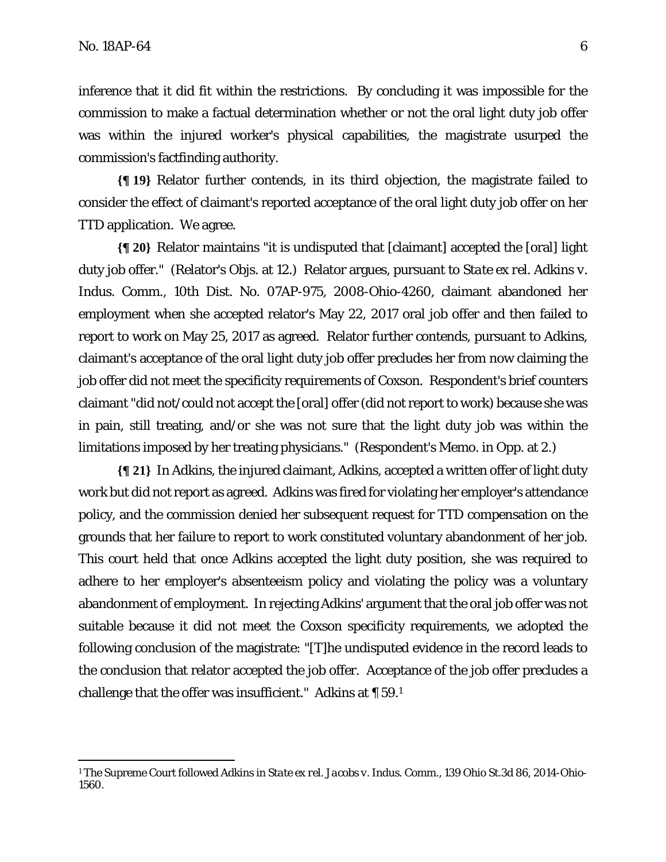<u>.</u>

inference that it did fit within the restrictions. By concluding it was impossible for the commission to make a factual determination whether or not the oral light duty job offer was within the injured worker's physical capabilities, the magistrate usurped the commission's factfinding authority.

**{¶ 19}** Relator further contends, in its third objection, the magistrate failed to consider the effect of claimant's reported acceptance of the oral light duty job offer on her TTD application. We agree.

**{¶ 20}** Relator maintains "it is undisputed that [claimant] accepted the [oral] light duty job offer." (Relator's Objs. at 12.) Relator argues, pursuant to *State ex rel. Adkins v. Indus. Comm*., 10th Dist. No. 07AP-975, 2008-Ohio-4260, claimant abandoned her employment when she accepted relator's May 22, 2017 oral job offer and then failed to report to work on May 25, 2017 as agreed. Relator further contends, pursuant to *Adkins*, claimant's acceptance of the oral light duty job offer precludes her from now claiming the job offer did not meet the specificity requirements of *Coxson*. Respondent's brief counters claimant "did not/could not accept the [oral] offer (did not report to work) because she was in pain, still treating, and/or she was not sure that the light duty job was within the limitations imposed by her treating physicians." (Respondent's Memo. in Opp. at 2.)

**{¶ 21}** In *Adkins*, the injured claimant, Adkins, accepted a written offer of light duty work but did not report as agreed. Adkins was fired for violating her employer's attendance policy, and the commission denied her subsequent request for TTD compensation on the grounds that her failure to report to work constituted voluntary abandonment of her job. This court held that once Adkins accepted the light duty position, she was required to adhere to her employer's absenteeism policy and violating the policy was a voluntary abandonment of employment. In rejecting Adkins' argument that the oral job offer was not suitable because it did not meet the *Coxson* specificity requirements, we adopted the following conclusion of the magistrate: "[T]he undisputed evidence in the record leads to the conclusion that relator accepted the job offer. Acceptance of the job offer precludes a challenge that the offer was insufficient." *Adkins* at ¶ 59.1

<sup>1</sup> The Supreme Court followed *Adkins* in *State ex rel. Jacobs v. Indus. Comm*., 139 Ohio St.3d 86, 2014-Ohio-1560.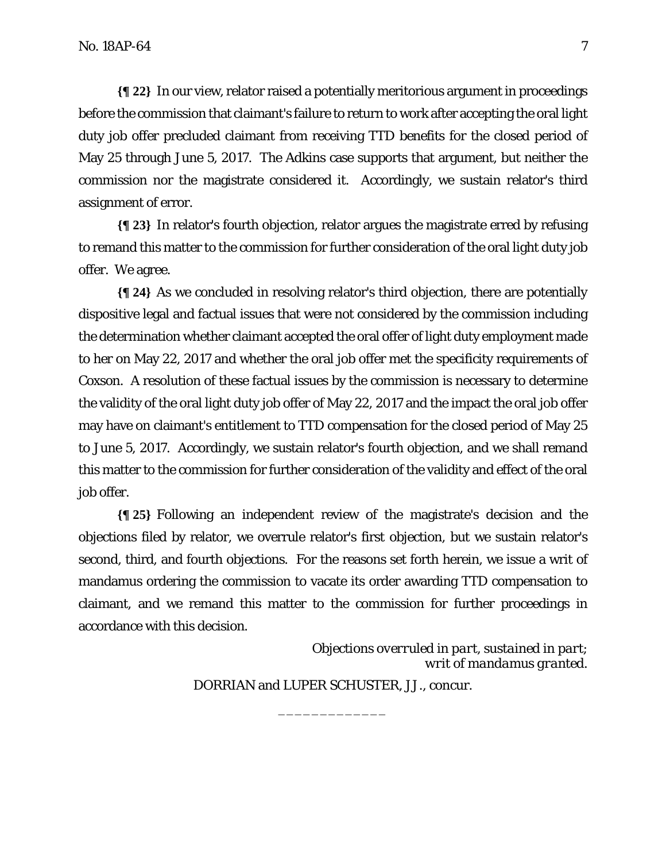**{¶ 22}** In our view, relator raised a potentially meritorious argument in proceedings before the commission that claimant's failure to return to work after accepting the oral light duty job offer precluded claimant from receiving TTD benefits for the closed period of May 25 through June 5, 2017. The *Adkins* case supports that argument, but neither the commission nor the magistrate considered it. Accordingly, we sustain relator's third assignment of error.

**{¶ 23}** In relator's fourth objection, relator argues the magistrate erred by refusing to remand this matter to the commission for further consideration of the oral light duty job offer. We agree.

**{¶ 24}** As we concluded in resolving relator's third objection, there are potentially dispositive legal and factual issues that were not considered by the commission including the determination whether claimant accepted the oral offer of light duty employment made to her on May 22, 2017 and whether the oral job offer met the specificity requirements of *Coxson*. A resolution of these factual issues by the commission is necessary to determine the validity of the oral light duty job offer of May 22, 2017 and the impact the oral job offer may have on claimant's entitlement to TTD compensation for the closed period of May 25 to June 5, 2017. Accordingly, we sustain relator's fourth objection, and we shall remand this matter to the commission for further consideration of the validity and effect of the oral job offer.

**{¶ 25}** Following an independent review of the magistrate's decision and the objections filed by relator, we overrule relator's first objection, but we sustain relator's second, third, and fourth objections. For the reasons set forth herein, we issue a writ of mandamus ordering the commission to vacate its order awarding TTD compensation to claimant, and we remand this matter to the commission for further proceedings in accordance with this decision.

> *Objections overruled in part, sustained in part*; *writ of mandamus granted.*

DORRIAN and LUPER SCHUSTER, JJ., concur.

\_\_\_\_\_\_\_\_\_\_\_\_\_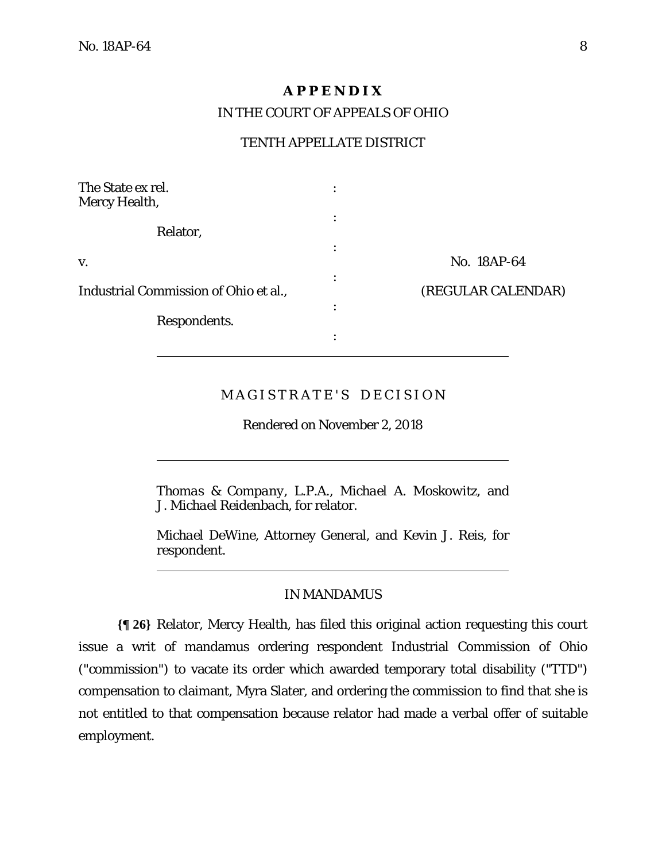$\overline{a}$ 

 $\overline{a}$ 

## **A P P E N D I X**

IN THE COURT OF APPEALS OF OHIO

## TENTH APPELLATE DISTRICT

| The State ex rel.<br><b>Mercy Health,</b> |                         |
|-------------------------------------------|-------------------------|
| Relator,                                  |                         |
| V.                                        | No. 18AP-64<br>٠        |
| Industrial Commission of Ohio et al.,     | (REGULAR CALENDAR)<br>٠ |
| Respondents.                              | ٠                       |
|                                           |                         |

# MAGISTRATE'S DECISION

Rendered on November 2, 2018

*Thomas & Company, L.P.A., Michael A. Moskowitz,* and *J. Michael Reidenbach,* for relator.

*Michael DeWine,* Attorney General, and *Kevin J. Reis,* for respondent.

#### IN MANDAMUS

**{¶ 26}** Relator, Mercy Health, has filed this original action requesting this court issue a writ of mandamus ordering respondent Industrial Commission of Ohio ("commission") to vacate its order which awarded temporary total disability ("TTD") compensation to claimant, Myra Slater, and ordering the commission to find that she is not entitled to that compensation because relator had made a verbal offer of suitable employment.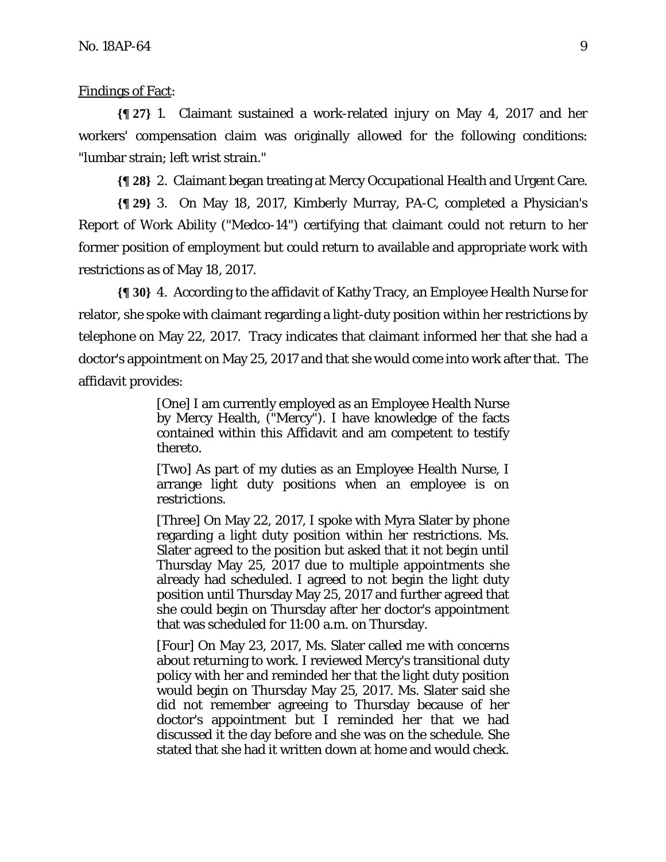#### Findings of Fact:

**{¶ 27}** 1. Claimant sustained a work-related injury on May 4, 2017 and her workers' compensation claim was originally allowed for the following conditions: "lumbar strain; left wrist strain."

**{¶ 28}** 2. Claimant began treating at Mercy Occupational Health and Urgent Care.

**{¶ 29}** 3. On May 18, 2017, Kimberly Murray, PA-C, completed a Physician's Report of Work Ability ("Medco-14") certifying that claimant could not return to her former position of employment but could return to available and appropriate work with restrictions as of May 18, 2017.

**{¶ 30}** 4. According to the affidavit of Kathy Tracy, an Employee Health Nurse for relator, she spoke with claimant regarding a light-duty position within her restrictions by telephone on May 22, 2017. Tracy indicates that claimant informed her that she had a doctor's appointment on May 25, 2017 and that she would come into work after that. The affidavit provides:

> [One] I am currently employed as an Employee Health Nurse by Mercy Health, ("Mercy"). I have knowledge of the facts contained within this Affidavit and am competent to testify thereto.

> [Two] As part of my duties as an Employee Health Nurse, I arrange light duty positions when an employee is on restrictions.

> [Three] On May 22, 2017, I spoke with Myra Slater by phone regarding a light duty position within her restrictions. Ms. Slater agreed to the position but asked that it not begin until Thursday May 25, 2017 due to multiple appointments she already had scheduled. I agreed to not begin the light duty position until Thursday May 25, 2017 and further agreed that she could begin on Thursday after her doctor's appointment that was scheduled for 11:00 a.m. on Thursday.

> [Four] On May 23, 2017, Ms. Slater called me with concerns about returning to work. I reviewed Mercy's transitional duty policy with her and reminded her that the light duty position would begin on Thursday May 25, 2017. Ms. Slater said she did not remember agreeing to Thursday because of her doctor's appointment but I reminded her that we had discussed it the day before and she was on the schedule. She stated that she had it written down at home and would check.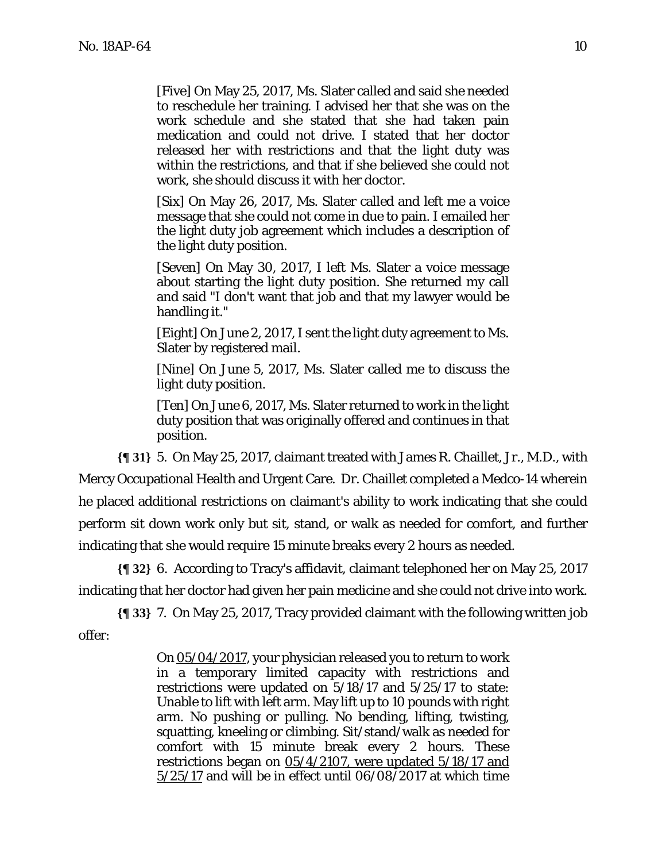[Five] On May 25, 2017, Ms. Slater called and said she needed to reschedule her training. I advised her that she was on the work schedule and she stated that she had taken pain medication and could not drive. I stated that her doctor released her with restrictions and that the light duty was within the restrictions, and that if she believed she could not work, she should discuss it with her doctor.

[Six] On May 26, 2017, Ms. Slater called and left me a voice message that she could not come in due to pain. I emailed her the light duty job agreement which includes a description of the light duty position.

[Seven] On May 30, 2017, I left Ms. Slater a voice message about starting the light duty position. She returned my call and said "I don't want that job and that my lawyer would be handling it."

[Eight] On June 2, 2017, I sent the light duty agreement to Ms. Slater by registered mail.

[Nine] On June 5, 2017, Ms. Slater called me to discuss the light duty position.

[Ten] On June 6, 2017, Ms. Slater returned to work in the light duty position that was originally offered and continues in that position.

**{¶ 31}** 5. On May 25, 2017, claimant treated with James R. Chaillet, Jr., M.D., with Mercy Occupational Health and Urgent Care. Dr. Chaillet completed a Medco-14 wherein he placed additional restrictions on claimant's ability to work indicating that she could perform sit down work only but sit, stand, or walk as needed for comfort, and further indicating that she would require 15 minute breaks every 2 hours as needed.

**{¶ 32}** 6. According to Tracy's affidavit, claimant telephoned her on May 25, 2017 indicating that her doctor had given her pain medicine and she could not drive into work.

**{¶ 33}** 7. On May 25, 2017, Tracy provided claimant with the following written job offer:

> On 05/04/2017, your physician released you to return to work in a temporary limited capacity with restrictions and restrictions were updated on 5/18/17 and 5/25/17 to state: Unable to lift with left arm. May lift up to 10 pounds with right arm. No pushing or pulling. No bending, lifting, twisting, squatting, kneeling or climbing. Sit/stand/walk as needed for comfort with 15 minute break every 2 hours. These restrictions began on 05/4/2107, were updated 5/18/17 and  $5/25/17$  and will be in effect until 06/08/2017 at which time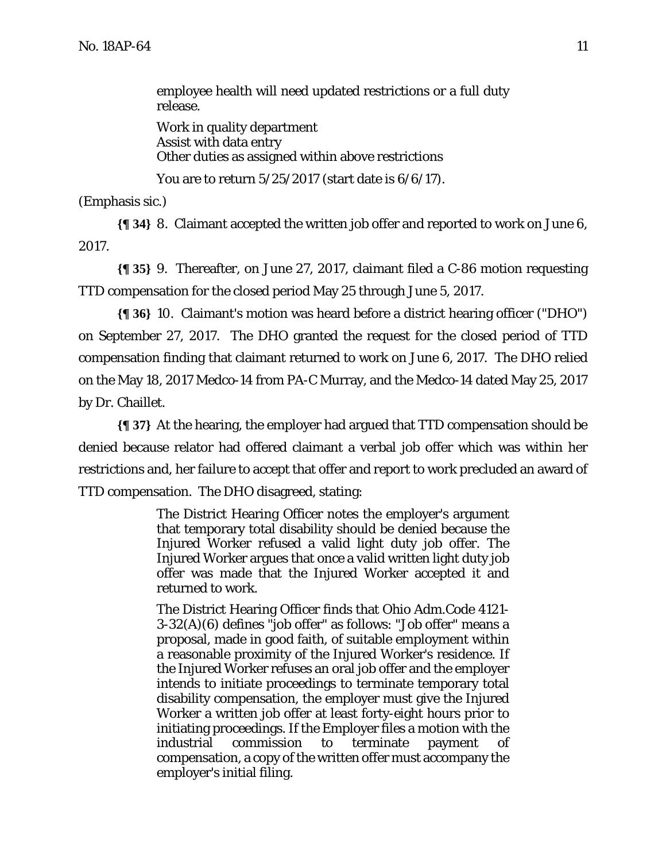employee health will need updated restrictions or a full duty release.

Work in quality department Assist with data entry Other duties as assigned within above restrictions

You are to return 5/25/2017 (start date is 6/6/17).

(Emphasis sic.)

**{¶ 34}** 8. Claimant accepted the written job offer and reported to work on June 6, 2017.

**{¶ 35}** 9. Thereafter, on June 27, 2017, claimant filed a C-86 motion requesting TTD compensation for the closed period May 25 through June 5, 2017.

**{¶ 36}** 10. Claimant's motion was heard before a district hearing officer ("DHO") on September 27, 2017. The DHO granted the request for the closed period of TTD compensation finding that claimant returned to work on June 6, 2017. The DHO relied on the May 18, 2017 Medco-14 from PA-C Murray, and the Medco-14 dated May 25, 2017 by Dr. Chaillet.

**{¶ 37}** At the hearing, the employer had argued that TTD compensation should be denied because relator had offered claimant a verbal job offer which was within her restrictions and, her failure to accept that offer and report to work precluded an award of TTD compensation. The DHO disagreed, stating:

> The District Hearing Officer notes the employer's argument that temporary total disability should be denied because the Injured Worker refused a valid light duty job offer. The Injured Worker argues that once a valid written light duty job offer was made that the Injured Worker accepted it and returned to work.

> The District Hearing Officer finds that Ohio Adm.Code 4121- 3-32(A)(6) defines "job offer" as follows: "Job offer" means a proposal, made in good faith, of suitable employment within a reasonable proximity of the Injured Worker's residence. If the Injured Worker refuses an oral job offer and the employer intends to initiate proceedings to terminate temporary total disability compensation, the employer must give the Injured Worker a written job offer at least forty-eight hours prior to initiating proceedings. If the Employer files a motion with the industrial commission to terminate payment of compensation, a copy of the written offer must accompany the employer's initial filing.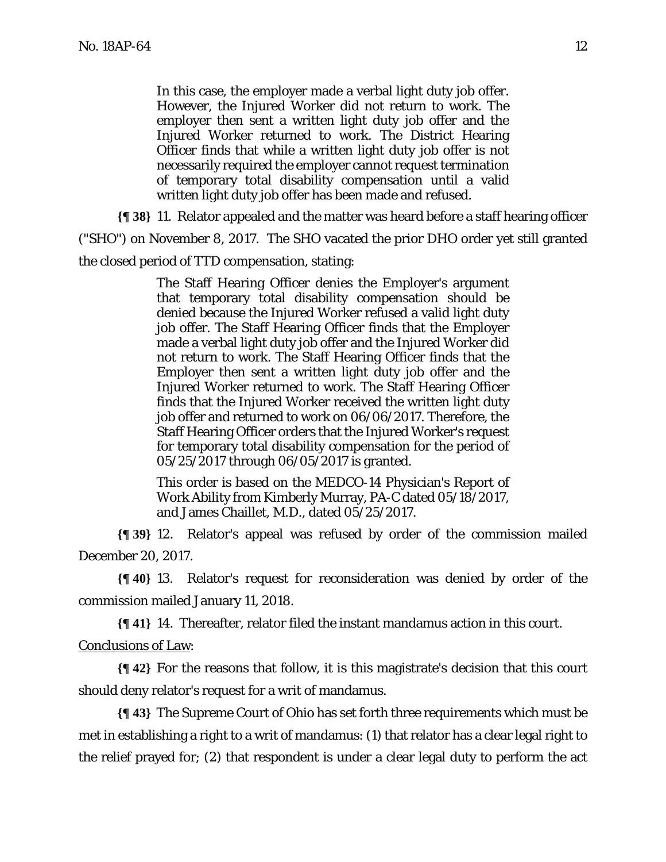In this case, the employer made a verbal light duty job offer. However, the Injured Worker did not return to work. The employer then sent a written light duty job offer and the Injured Worker returned to work. The District Hearing Officer finds that while a written light duty job offer is not necessarily required the employer cannot request termination of temporary total disability compensation until a valid written light duty job offer has been made and refused.

**{¶ 38}** 11. Relator appealed and the matter was heard before a staff hearing officer

("SHO") on November 8, 2017. The SHO vacated the prior DHO order yet still granted

the closed period of TTD compensation, stating:

The Staff Hearing Officer denies the Employer's argument that temporary total disability compensation should be denied because the Injured Worker refused a valid light duty job offer. The Staff Hearing Officer finds that the Employer made a verbal light duty job offer and the Injured Worker did not return to work. The Staff Hearing Officer finds that the Employer then sent a written light duty job offer and the Injured Worker returned to work. The Staff Hearing Officer finds that the Injured Worker received the written light duty job offer and returned to work on 06/06/2017. Therefore, the Staff Hearing Officer orders that the Injured Worker's request for temporary total disability compensation for the period of 05/25/2017 through 06/05/2017 is granted.

This order is based on the MEDCO-14 Physician's Report of Work Ability from Kimberly Murray, PA-C dated 05/18/2017, and James Chaillet, M.D., dated 05/25/2017.

**{¶ 39}** 12. Relator's appeal was refused by order of the commission mailed December 20, 2017.

**{¶ 40}** 13. Relator's request for reconsideration was denied by order of the commission mailed January 11, 2018.

**{¶ 41}** 14. Thereafter, relator filed the instant mandamus action in this court.

Conclusions of Law:

**{¶ 42}** For the reasons that follow, it is this magistrate's decision that this court should deny relator's request for a writ of mandamus.

**{¶ 43}** The Supreme Court of Ohio has set forth three requirements which must be met in establishing a right to a writ of mandamus: (1) that relator has a clear legal right to the relief prayed for; (2) that respondent is under a clear legal duty to perform the act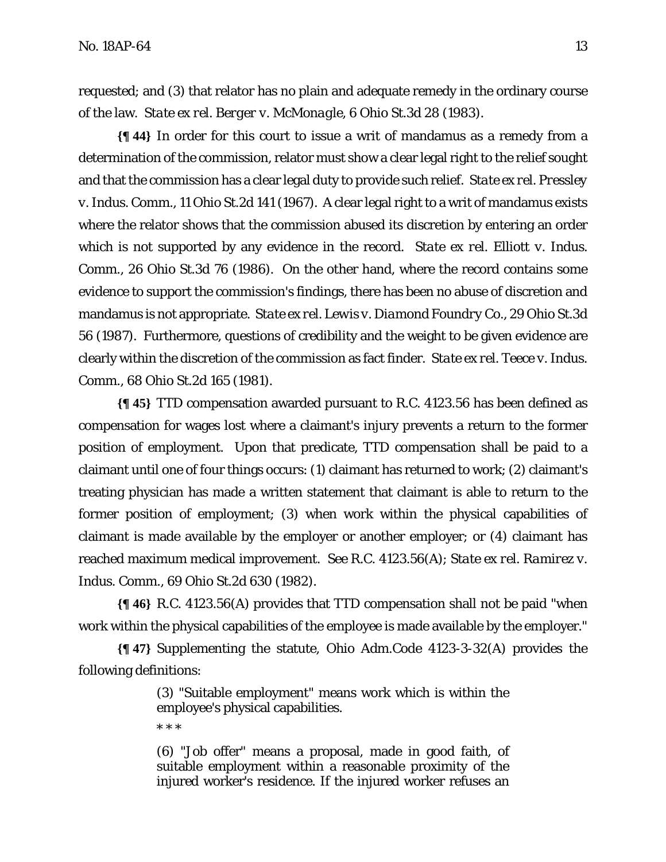requested; and (3) that relator has no plain and adequate remedy in the ordinary course of the law. *State ex rel. Berger v. McMonagle*, 6 Ohio St.3d 28 (1983).

**{¶ 44}** In order for this court to issue a writ of mandamus as a remedy from a determination of the commission, relator must show a clear legal right to the relief sought and that the commission has a clear legal duty to provide such relief. *State ex rel. Pressley v. Indus. Comm.*, 11 Ohio St.2d 141 (1967). A clear legal right to a writ of mandamus exists where the relator shows that the commission abused its discretion by entering an order which is not supported by any evidence in the record. *State ex rel. Elliott v. Indus. Comm.*, 26 Ohio St.3d 76 (1986). On the other hand, where the record contains some evidence to support the commission's findings, there has been no abuse of discretion and mandamus is not appropriate. *State ex rel. Lewis v. Diamond Foundry Co.*, 29 Ohio St.3d 56 (1987). Furthermore, questions of credibility and the weight to be given evidence are clearly within the discretion of the commission as fact finder. *State ex rel. Teece v. Indus. Comm.*, 68 Ohio St.2d 165 (1981).

**{¶ 45}** TTD compensation awarded pursuant to R.C. 4123.56 has been defined as compensation for wages lost where a claimant's injury prevents a return to the former position of employment. Upon that predicate, TTD compensation shall be paid to a claimant until one of four things occurs: (1) claimant has returned to work; (2) claimant's treating physician has made a written statement that claimant is able to return to the former position of employment; (3) when work within the physical capabilities of claimant is made available by the employer or another employer; or (4) claimant has reached maximum medical improvement. *See* R.C. 4123.56(A); *State ex rel. Ramirez v. Indus. Comm.*, 69 Ohio St.2d 630 (1982).

**{¶ 46}** R.C. 4123.56(A) provides that TTD compensation shall not be paid "when work within the physical capabilities of the employee is made available by the employer."

**{¶ 47}** Supplementing the statute, Ohio Adm.Code 4123-3-32(A) provides the following definitions:

> (3) "Suitable employment" means work which is within the employee's physical capabilities.

\* \* \*

(6) "Job offer" means a proposal, made in good faith, of suitable employment within a reasonable proximity of the injured worker's residence. If the injured worker refuses an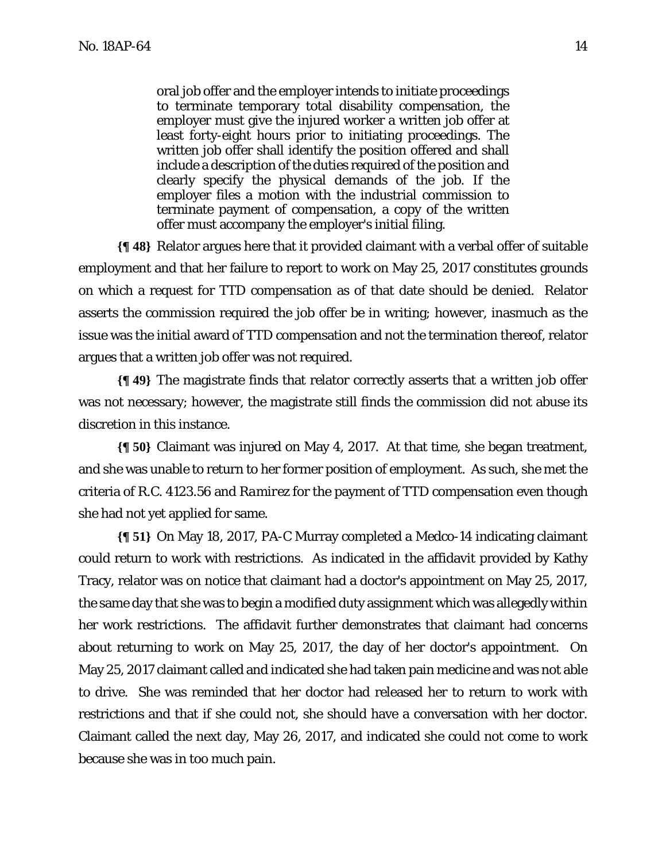oral job offer and the employer intends to initiate proceedings to terminate temporary total disability compensation, the employer must give the injured worker a written job offer at least forty-eight hours prior to initiating proceedings. The written job offer shall identify the position offered and shall include a description of the duties required of the position and clearly specify the physical demands of the job. If the employer files a motion with the industrial commission to terminate payment of compensation, a copy of the written offer must accompany the employer's initial filing.

**{¶ 48}** Relator argues here that it provided claimant with a verbal offer of suitable employment and that her failure to report to work on May 25, 2017 constitutes grounds on which a request for TTD compensation as of that date should be denied. Relator asserts the commission required the job offer be in writing; however, inasmuch as the issue was the initial award of TTD compensation and not the termination thereof, relator argues that a written job offer was not required.

**{¶ 49}** The magistrate finds that relator correctly asserts that a written job offer was not necessary; however, the magistrate still finds the commission did not abuse its discretion in this instance.

**{¶ 50}** Claimant was injured on May 4, 2017. At that time, she began treatment, and she was unable to return to her former position of employment. As such, she met the criteria of R.C. 4123.56 and *Ramirez* for the payment of TTD compensation even though she had not yet applied for same.

**{¶ 51}** On May 18, 2017, PA-C Murray completed a Medco-14 indicating claimant could return to work with restrictions. As indicated in the affidavit provided by Kathy Tracy, relator was on notice that claimant had a doctor's appointment on May 25, 2017, the same day that she was to begin a modified duty assignment which was allegedly within her work restrictions. The affidavit further demonstrates that claimant had concerns about returning to work on May 25, 2017, the day of her doctor's appointment. On May 25, 2017 claimant called and indicated she had taken pain medicine and was not able to drive. She was reminded that her doctor had released her to return to work with restrictions and that if she could not, she should have a conversation with her doctor. Claimant called the next day, May 26, 2017, and indicated she could not come to work because she was in too much pain.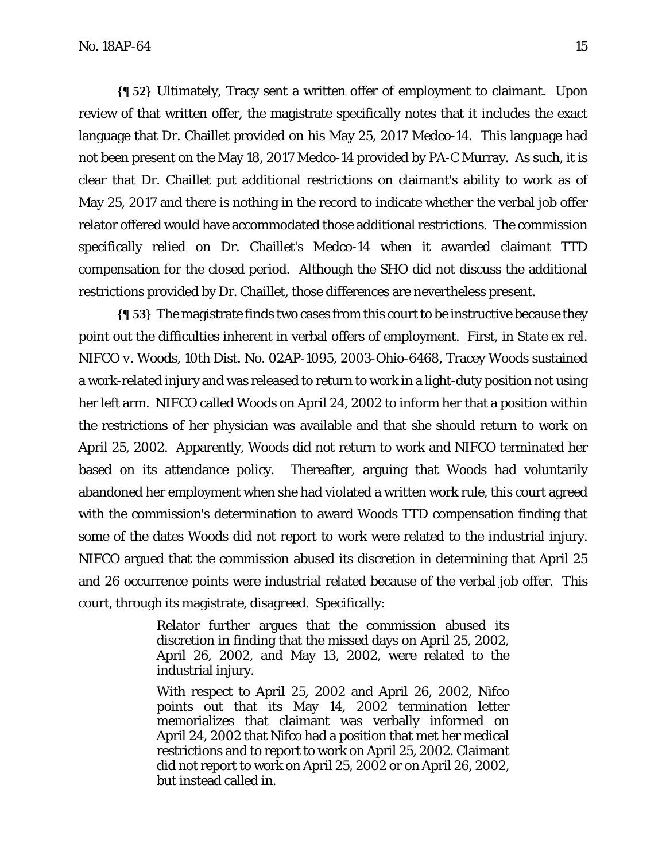**{¶ 52}** Ultimately, Tracy sent a written offer of employment to claimant. Upon review of that written offer, the magistrate specifically notes that it includes the exact language that Dr. Chaillet provided on his May 25, 2017 Medco-14. This language had not been present on the May 18, 2017 Medco-14 provided by PA-C Murray. As such, it is clear that Dr. Chaillet put additional restrictions on claimant's ability to work as of May 25, 2017 and there is nothing in the record to indicate whether the verbal job offer relator offered would have accommodated those additional restrictions. The commission specifically relied on Dr. Chaillet's Medco-14 when it awarded claimant TTD compensation for the closed period. Although the SHO did not discuss the additional restrictions provided by Dr. Chaillet, those differences are nevertheless present.

**{¶ 53}** The magistrate finds two cases from this court to be instructive because they point out the difficulties inherent in verbal offers of employment. First, in *State ex rel. NIFCO v. Woods,* 10th Dist. No. 02AP-1095, 2003-Ohio-6468, Tracey Woods sustained a work-related injury and was released to return to work in a light-duty position not using her left arm. NIFCO called Woods on April 24, 2002 to inform her that a position within the restrictions of her physician was available and that she should return to work on April 25, 2002. Apparently, Woods did not return to work and NIFCO terminated her based on its attendance policy. Thereafter, arguing that Woods had voluntarily abandoned her employment when she had violated a written work rule, this court agreed with the commission's determination to award Woods TTD compensation finding that some of the dates Woods did not report to work were related to the industrial injury. NIFCO argued that the commission abused its discretion in determining that April 25 and 26 occurrence points were industrial related because of the verbal job offer. This court, through its magistrate, disagreed. Specifically:

> Relator further argues that the commission abused its discretion in finding that the missed days on April 25, 2002, April 26, 2002, and May 13, 2002, were related to the industrial injury.

> With respect to April 25, 2002 and April 26, 2002, Nifco points out that its May 14, 2002 termination letter memorializes that claimant was verbally informed on April 24, 2002 that Nifco had a position that met her medical restrictions and to report to work on April 25, 2002. Claimant did not report to work on April 25, 2002 or on April 26, 2002, but instead called in.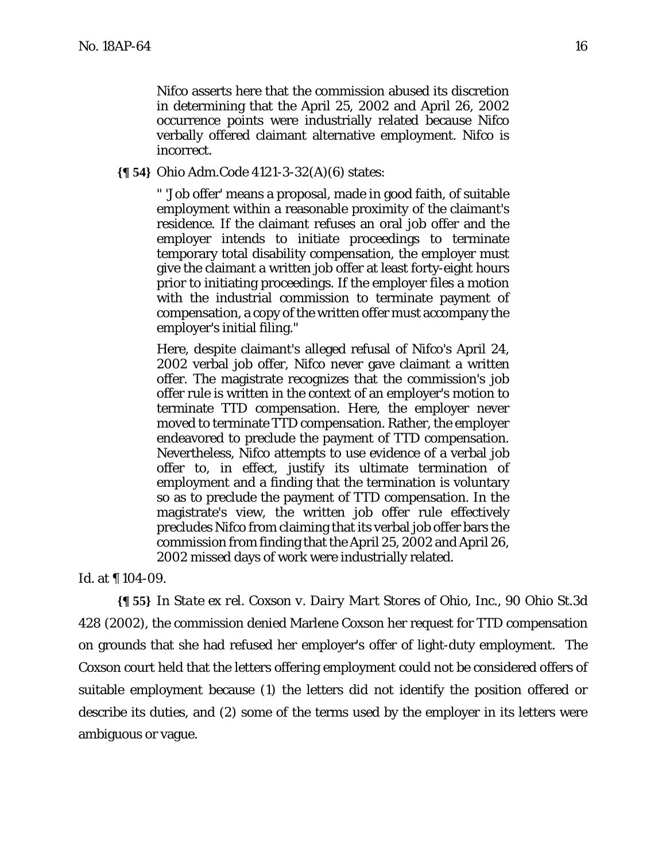Nifco asserts here that the commission abused its discretion in determining that the April 25, 2002 and April 26, 2002 occurrence points were industrially related because Nifco verbally offered claimant alternative employment. Nifco is incorrect.

**{¶ 54}** Ohio Adm.Code 4121-3-32(A)(6) states:

" 'Job offer' means a proposal, made in good faith, of suitable employment within a reasonable proximity of the claimant's residence. If the claimant refuses an oral job offer and the employer intends to initiate proceedings to terminate temporary total disability compensation, the employer must give the claimant a written job offer at least forty-eight hours prior to initiating proceedings. If the employer files a motion with the industrial commission to terminate payment of compensation, a copy of the written offer must accompany the employer's initial filing."

Here, despite claimant's alleged refusal of Nifco's April 24, 2002 verbal job offer, Nifco never gave claimant a written offer. The magistrate recognizes that the commission's job offer rule is written in the context of an employer's motion to terminate TTD compensation. Here, the employer never moved to terminate TTD compensation. Rather, the employer endeavored to preclude the payment of TTD compensation. Nevertheless, Nifco attempts to use evidence of a verbal job offer to, in effect, justify its ultimate termination of employment and a finding that the termination is voluntary so as to preclude the payment of TTD compensation. In the magistrate's view, the written job offer rule effectively precludes Nifco from claiming that its verbal job offer bars the commission from finding that the April 25, 2002 and April 26, 2002 missed days of work were industrially related.

*Id.* at ¶ 104-09.

**{¶ 55}** In *State ex rel. Coxson v. Dairy Mart Stores of Ohio, Inc.,* 90 Ohio St.3d 428 (2002), the commission denied Marlene Coxson her request for TTD compensation on grounds that she had refused her employer's offer of light-duty employment. The *Coxson* court held that the letters offering employment could not be considered offers of suitable employment because (1) the letters did not identify the position offered or describe its duties, and (2) some of the terms used by the employer in its letters were ambiguous or vague.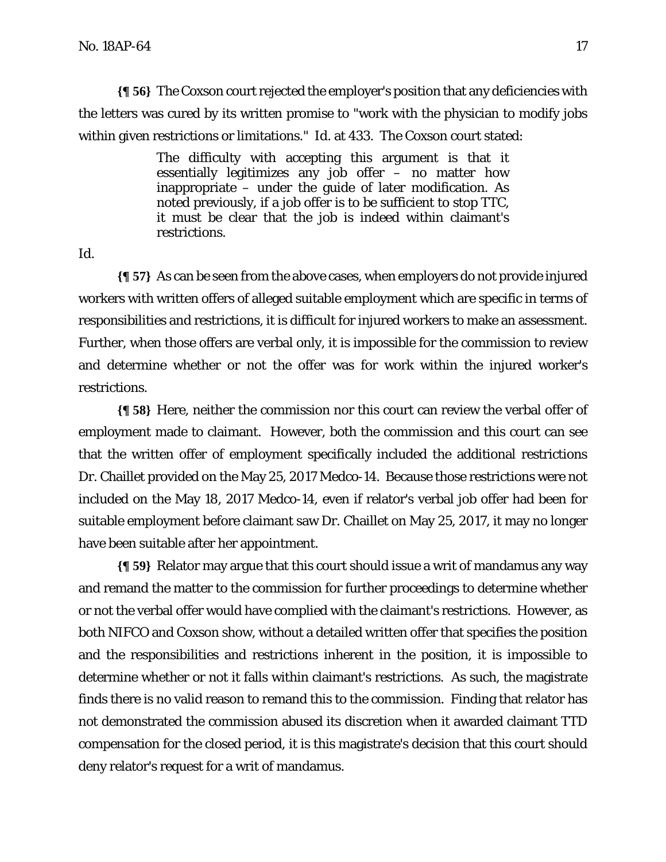**{¶ 56}** The *Coxson* court rejected the employer's position that any deficiencies with the letters was cured by its written promise to "work with the physician to modify jobs within given restrictions or limitations." *Id.* at 433. The *Coxson* court stated:

> The difficulty with accepting this argument is that it essentially legitimizes any job offer – no matter how inappropriate – under the guide of later modification. As noted previously, if a job offer is to be sufficient to stop TTC, it must be clear that the job is indeed within claimant's restrictions.

*Id*.

**{¶ 57}** As can be seen from the above cases, when employers do not provide injured workers with written offers of alleged suitable employment which are specific in terms of responsibilities and restrictions, it is difficult for injured workers to make an assessment. Further, when those offers are verbal only, it is impossible for the commission to review and determine whether or not the offer was for work within the injured worker's restrictions.

**{¶ 58}** Here, neither the commission nor this court can review the verbal offer of employment made to claimant. However, both the commission and this court can see that the written offer of employment specifically included the additional restrictions Dr. Chaillet provided on the May 25, 2017 Medco-14. Because those restrictions were not included on the May 18, 2017 Medco-14, even if relator's verbal job offer had been for suitable employment before claimant saw Dr. Chaillet on May 25, 2017, it may no longer have been suitable after her appointment.

**{¶ 59}** Relator may argue that this court should issue a writ of mandamus any way and remand the matter to the commission for further proceedings to determine whether or not the verbal offer would have complied with the claimant's restrictions. However, as both *NIFCO* and *Coxson* show, without a detailed written offer that specifies the position and the responsibilities and restrictions inherent in the position, it is impossible to determine whether or not it falls within claimant's restrictions. As such, the magistrate finds there is no valid reason to remand this to the commission. Finding that relator has not demonstrated the commission abused its discretion when it awarded claimant TTD compensation for the closed period, it is this magistrate's decision that this court should deny relator's request for a writ of mandamus.